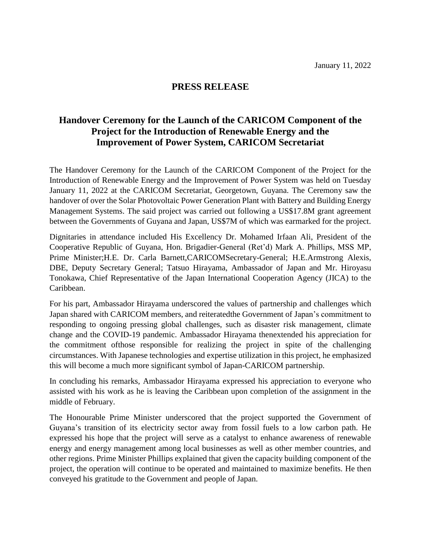## **PRESS RELEASE**

## **Handover Ceremony for the Launch of the CARICOM Component of the Project for the Introduction of Renewable Energy and the Improvement of Power System, CARICOM Secretariat**

The Handover Ceremony for the Launch of the CARICOM Component of the Project for the Introduction of Renewable Energy and the Improvement of Power System was held on Tuesday January 11, 2022 at the CARICOM Secretariat, Georgetown, Guyana. The Ceremony saw the handover of over the Solar Photovoltaic Power Generation Plant with Battery and Building Energy Management Systems. The said project was carried out following a US\$17.8M grant agreement between the Governments of Guyana and Japan, US\$7M of which was earmarked for the project.

Dignitaries in attendance included His Excellency Dr. Mohamed Irfaan Ali, President of the Cooperative Republic of Guyana, Hon. Brigadier-General (Ret'd) Mark A. Phillips, MSS MP, Prime Minister;H.E. Dr. Carla Barnett,CARICOMSecretary-General; H.E.Armstrong Alexis, DBE, Deputy Secretary General; Tatsuo Hirayama, Ambassador of Japan and Mr. Hiroyasu Tonokawa, Chief Representative of the Japan International Cooperation Agency (JICA) to the Caribbean.

For his part, Ambassador Hirayama underscored the values of partnership and challenges which Japan shared with CARICOM members, and reiteratedthe Government of Japan's commitment to responding to ongoing pressing global challenges, such as disaster risk management, climate change and the COVID-19 pandemic. Ambassador Hirayama thenextended his appreciation for the commitment ofthose responsible for realizing the project in spite of the challenging circumstances. With Japanese technologies and expertise utilization in this project, he emphasized this will become a much more significant symbol of Japan-CARICOM partnership.

In concluding his remarks, Ambassador Hirayama expressed his appreciation to everyone who assisted with his work as he is leaving the Caribbean upon completion of the assignment in the middle of February.

The Honourable Prime Minister underscored that the project supported the Government of Guyana's transition of its electricity sector away from fossil fuels to a low carbon path. He expressed his hope that the project will serve as a catalyst to enhance awareness of renewable energy and energy management among local businesses as well as other member countries, and other regions. Prime Minister Phillips explained that given the capacity building component of the project, the operation will continue to be operated and maintained to maximize benefits. He then conveyed his gratitude to the Government and people of Japan.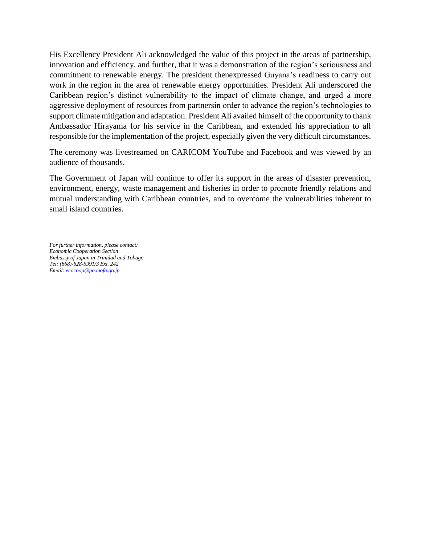His Excellency President Ali acknowledged the value of this project in the areas of partnership, innovation and efficiency, and further, that it was a demonstration of the region's seriousness and commitment to renewable energy. The president thenexpressed Guyana's readiness to carry out work in the region in the area of renewable energy opportunities. President Ali underscored the Caribbean region's distinct vulnerability to the impact of climate change, and urged a more aggressive deployment of resources from partnersin order to advance the region's technologies to support climate mitigation and adaptation. President Ali availed himself of the opportunity to thank Ambassador Hirayama for his service in the Caribbean, and extended his appreciation to all responsible for the implementation of the project, especially given the very difficult circumstances.

The ceremony was livestreamed on CARICOM YouTube and Facebook and was viewed by an audience of thousands.

The Government of Japan will continue to offer its support in the areas of disaster prevention, environment, energy, waste management and fisheries in order to promote friendly relations and mutual understanding with Caribbean countries, and to overcome the vulnerabilities inherent to small island countries.

*For further information, please contact: Economic Cooperation Section Embassy of Japan in Trinidad and Tobago Tel: (868)-628-5991/3 Ext. 242 Email: [ecocoop@po.mofa.go.jp](mailto:ecocoop@po.mofa.go.jp)*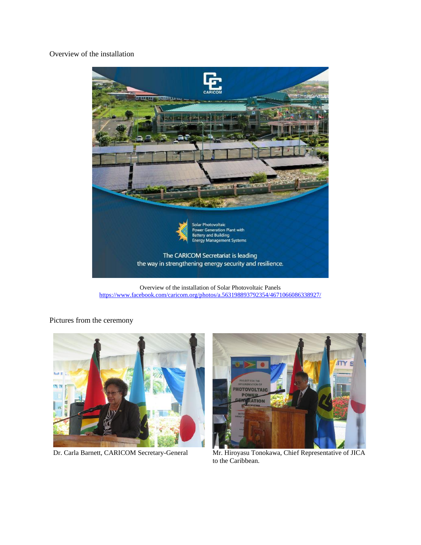Overview of the installation



Overview of the installation of Solar Photovoltaic Panels <https://www.facebook.com/caricom.org/photos/a.563198893792354/4671066086338927/>

Pictures from the ceremony





Dr. Carla Barnett, CARICOM Secretary-General Mr. Hiroyasu Tonokawa, Chief Representative of JICA to the Caribbean.